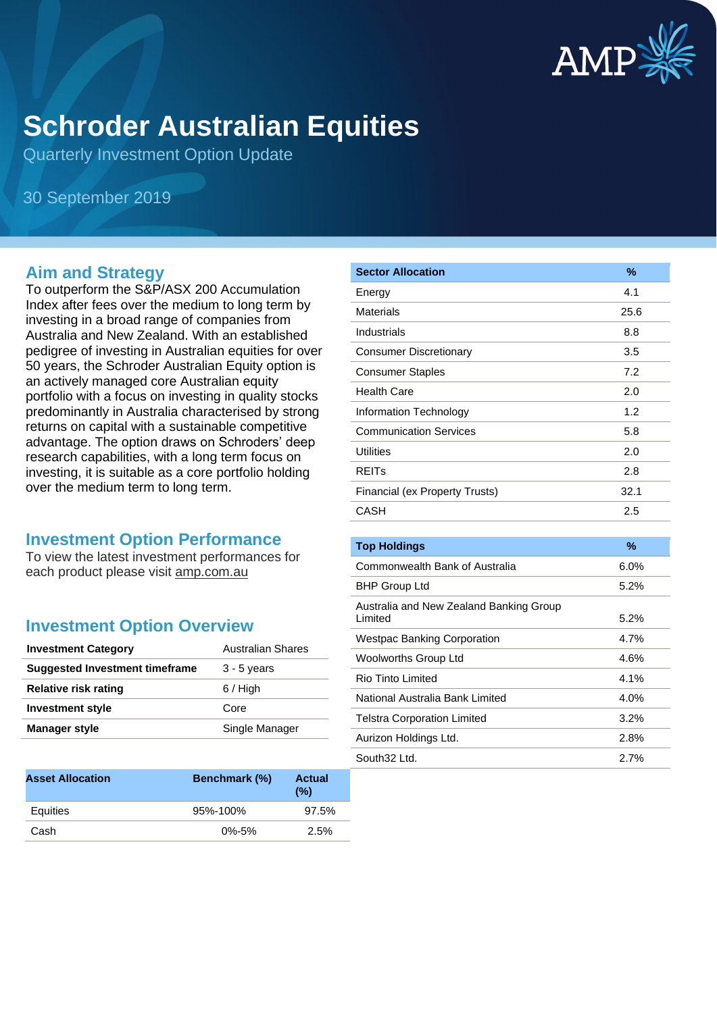

# **Schroder Australian Equities**

Quarterly Investment Option Update

30 September 2019

#### **Aim and Strategy**

To outperform the S&P/ASX 200 Accumulation Index after fees over the medium to long term by investing in a broad range of companies from Australia and New Zealand. With an established pedigree of investing in Australian equities for over 50 years, the Schroder Australian Equity option is an actively managed core Australian equity portfolio with a focus on investing in quality stocks predominantly in Australia characterised by strong returns on capital with a sustainable competitive advantage. The option draws on Schroders' deep research capabilities, with a long term focus on investing, it is suitable as a core portfolio holding over the medium term to long term.

#### **Investment Option Performance**

To view the latest investment performances for each product please visit amp.com.au

### **Investment Option Overview**

| <b>Investment Category</b>     | <b>Australian Shares</b> |
|--------------------------------|--------------------------|
| Suggested Investment timeframe | $3 - 5$ years            |
| <b>Relative risk rating</b>    | $6/$ High                |
| <b>Investment style</b>        | Core                     |
| Manager style                  | Single Manager           |

| <b>Asset Allocation</b> | Benchmark (%) | <b>Actual</b><br>$(\%)$ |
|-------------------------|---------------|-------------------------|
| Equities                | 95%-100%      | 97.5%                   |
| Cash                    | $0\% - 5\%$   | 2.5%                    |

| <b>Sector Allocation</b>       | $\%$ |
|--------------------------------|------|
| Energy                         | 4.1  |
| Materials                      | 25.6 |
| Industrials                    | 8.8  |
| <b>Consumer Discretionary</b>  | 3.5  |
| <b>Consumer Staples</b>        | 7.2  |
| Health Care                    | 2.0  |
| Information Technology         | 1.2  |
| <b>Communication Services</b>  | 5.8  |
| <b>Utilities</b>               | 2.0  |
| <b>REITs</b>                   | 2.8  |
| Financial (ex Property Trusts) | 32.1 |
| CASH                           | 2.5  |
|                                |      |

| <b>Top Holdings</b>                     | %       |
|-----------------------------------------|---------|
| Commonwealth Bank of Australia          | $6.0\%$ |
| <b>BHP Group Ltd</b>                    | $5.2\%$ |
| Australia and New Zealand Banking Group |         |
| Limited                                 | 5.2%    |
| <b>Westpac Banking Corporation</b>      | 4.7%    |
| Woolworths Group Ltd                    | 4.6%    |
| Rio Tinto Limited                       | 4.1%    |
| National Australia Bank Limited         | 4.0%    |
| <b>Telstra Corporation Limited</b>      | 3.2%    |
| Aurizon Holdings Ltd.                   | 2.8%    |
| South32 Ltd.                            | $2.7\%$ |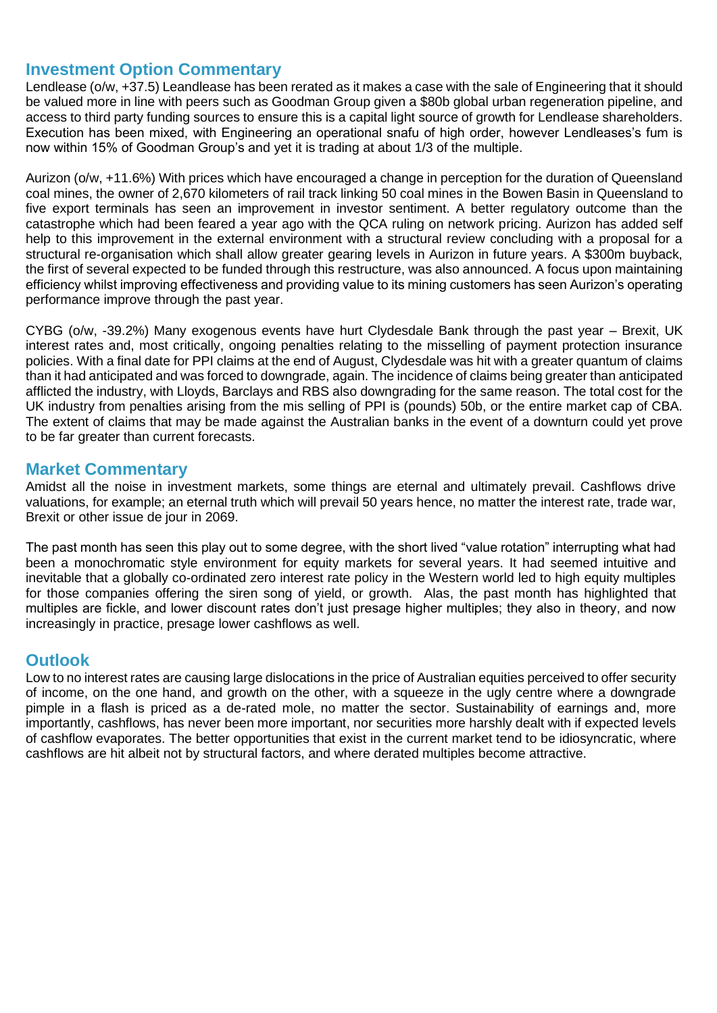#### **Investment Option Commentary**

Lendlease (o/w, +37.5) Leandlease has been rerated as it makes a case with the sale of Engineering that it should be valued more in line with peers such as Goodman Group given a \$80b global urban regeneration pipeline, and access to third party funding sources to ensure this is a capital light source of growth for Lendlease shareholders. Execution has been mixed, with Engineering an operational snafu of high order, however Lendleases's fum is now within 15% of Goodman Group's and yet it is trading at about 1/3 of the multiple.

Aurizon (o/w, +11.6%) With prices which have encouraged a change in perception for the duration of Queensland coal mines, the owner of 2,670 kilometers of rail track linking 50 coal mines in the Bowen Basin in Queensland to five export terminals has seen an improvement in investor sentiment. A better regulatory outcome than the catastrophe which had been feared a year ago with the QCA ruling on network pricing. Aurizon has added self help to this improvement in the external environment with a structural review concluding with a proposal for a structural re-organisation which shall allow greater gearing levels in Aurizon in future years. A \$300m buyback, the first of several expected to be funded through this restructure, was also announced. A focus upon maintaining efficiency whilst improving effectiveness and providing value to its mining customers has seen Aurizon's operating performance improve through the past year.

CYBG (o/w, -39.2%) Many exogenous events have hurt Clydesdale Bank through the past year – Brexit, UK interest rates and, most critically, ongoing penalties relating to the misselling of payment protection insurance policies. With a final date for PPI claims at the end of August, Clydesdale was hit with a greater quantum of claims than it had anticipated and was forced to downgrade, again. The incidence of claims being greater than anticipated afflicted the industry, with Lloyds, Barclays and RBS also downgrading for the same reason. The total cost for the UK industry from penalties arising from the mis selling of PPI is (pounds) 50b, or the entire market cap of CBA. The extent of claims that may be made against the Australian banks in the event of a downturn could yet prove to be far greater than current forecasts.

#### **Market Commentary**

Amidst all the noise in investment markets, some things are eternal and ultimately prevail. Cashflows drive valuations, for example; an eternal truth which will prevail 50 years hence, no matter the interest rate, trade war, Brexit or other issue de jour in 2069.

The past month has seen this play out to some degree, with the short lived "value rotation" interrupting what had been a monochromatic style environment for equity markets for several years. It had seemed intuitive and inevitable that a globally co-ordinated zero interest rate policy in the Western world led to high equity multiples for those companies offering the siren song of yield, or growth. Alas, the past month has highlighted that multiples are fickle, and lower discount rates don't just presage higher multiples; they also in theory, and now increasingly in practice, presage lower cashflows as well.

#### **Outlook**

Low to no interest rates are causing large dislocations in the price of Australian equities perceived to offer security of income, on the one hand, and growth on the other, with a squeeze in the ugly centre where a downgrade pimple in a flash is priced as a de-rated mole, no matter the sector. Sustainability of earnings and, more importantly, cashflows, has never been more important, nor securities more harshly dealt with if expected levels of cashflow evaporates. The better opportunities that exist in the current market tend to be idiosyncratic, where cashflows are hit albeit not by structural factors, and where derated multiples become attractive.